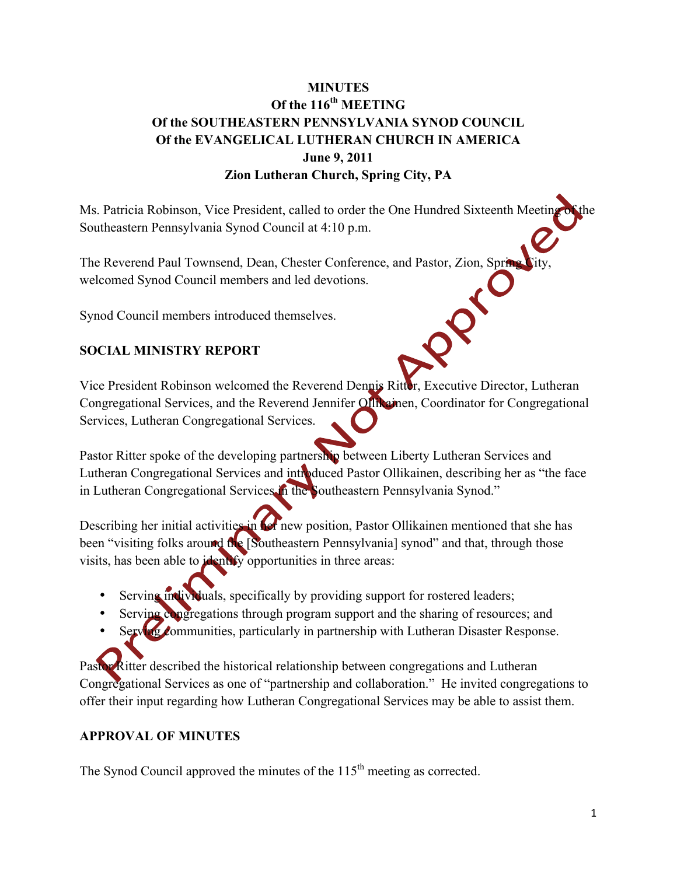## **MINUTES Of the 116th MEETING Of the SOUTHEASTERN PENNSYLVANIA SYNOD COUNCIL Of the EVANGELICAL LUTHERAN CHURCH IN AMERICA June 9, 2011 Zion Lutheran Church, Spring City, PA**

Ms. Patricia Robinson, Vice President, called to order the One Hundred Sixteenth Meeting of the Southeastern Pennsylvania Synod Council at 4:10 p.m.

The Reverend Paul Townsend, Dean, Chester Conference, and Pastor, Zion, Spring City, welcomed Synod Council members and led devotions.

Synod Council members introduced themselves.

## **SOCIAL MINISTRY REPORT**

Vice President Robinson welcomed the Reverend Dennis Ritter, Executive Director, Lutheran Congregational Services, and the Reverend Jennifer Ollikainen, Coordinator for Congregational Services, Lutheran Congregational Services.

Pastor Ritter spoke of the developing partnership between Liberty Lutheran Services and Lutheran Congregational Services and introduced Pastor Ollikainen, describing her as "the face in Lutheran Congregational Services in the Southeastern Pennsylvania Synod."

Describing her initial activities in **Let** new position, Pastor Ollikainen mentioned that she has been "visiting folks around the [Southeastern Pennsylvania] synod" and that, through those visits, has been able to identify opportunities in three areas:

- Serving individuals, specifically by providing support for rostered leaders;
- Serving congregations through program support and the sharing of resources; and
- Serving communities, particularly in partnership with Lutheran Disaster Response.

Pastor Ritter described the historical relationship between congregations and Lutheran Congregational Services as one of "partnership and collaboration." He invited congregations to offer their input regarding how Lutheran Congregational Services may be able to assist them.

## **APPROVAL OF MINUTES**

The Synod Council approved the minutes of the  $115<sup>th</sup>$  meeting as corrected.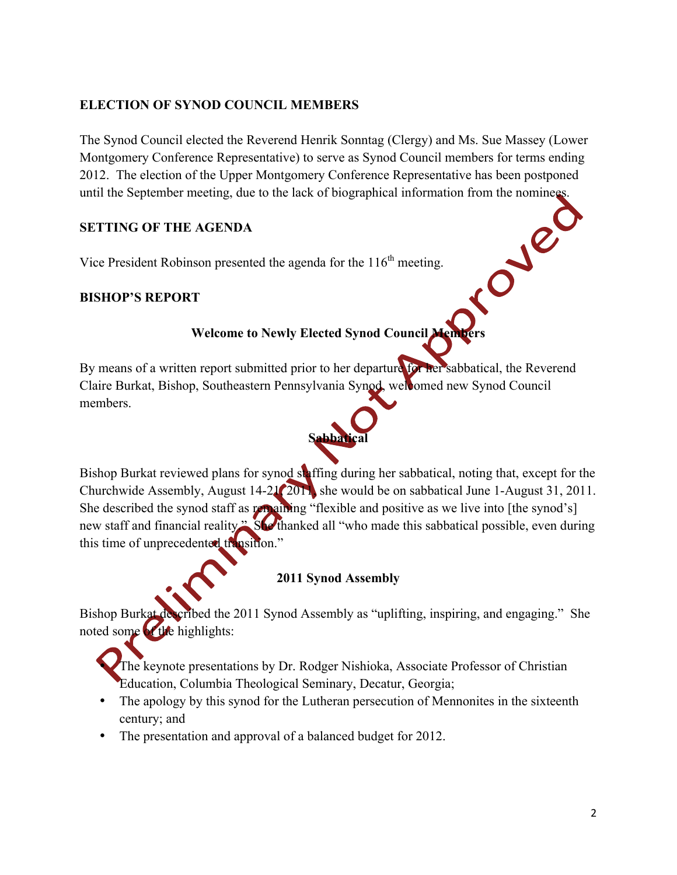## **ELECTION OF SYNOD COUNCIL MEMBERS**

The Synod Council elected the Reverend Henrik Sonntag (Clergy) and Ms. Sue Massey (Lower Montgomery Conference Representative) to serve as Synod Council members for terms ending 2012. The election of the Upper Montgomery Conference Representative has been postponed until the September meeting, due to the lack of biographical information from the nominees.

## **SETTING OF THE AGENDA**

Vice President Robinson presented the agenda for the  $116<sup>th</sup>$  meeting.

## **BISHOP'S REPORT**

## **Welcome to Newly Elected Synod Council Members**

By means of a written report submitted prior to her departure for her sabbatical, the Reverend Claire Burkat, Bishop, Southeastern Pennsylvania Synod, welcomed new Synod Council members.



Bishop Burkat reviewed plans for synod staffing during her sabbatical, noting that, except for the Churchwide Assembly, August 14-21, 2011, she would be on sabbatical June 1-August 31, 2011. She described the synod staff as remaining "flexible and positive as we live into [the synod's] new staff and financial reality." She thanked all "who made this sabbatical possible, even during this time of unprecedented transition."

## **2011 Synod Assembly**

Bishop Burkat described the 2011 Synod Assembly as "uplifting, inspiring, and engaging." She noted some of the highlights:

• The keynote presentations by Dr. Rodger Nishioka, Associate Professor of Christian Education, Columbia Theological Seminary, Decatur, Georgia;

- The apology by this synod for the Lutheran persecution of Mennonites in the sixteenth century; and
- The presentation and approval of a balanced budget for 2012.

in Jec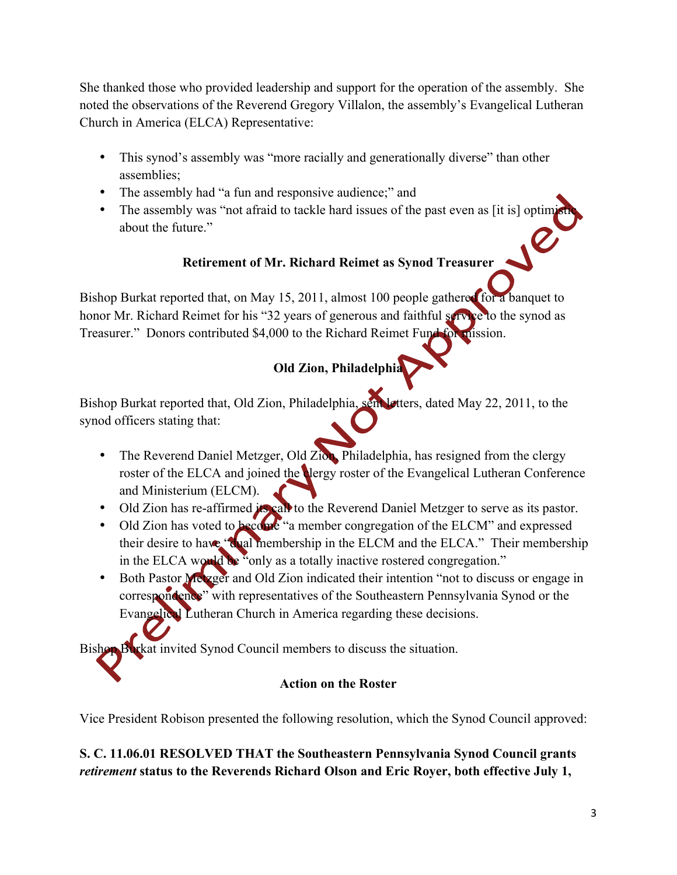She thanked those who provided leadership and support for the operation of the assembly. She noted the observations of the Reverend Gregory Villalon, the assembly's Evangelical Lutheran Church in America (ELCA) Representative:

- This synod's assembly was "more racially and generationally diverse" than other assemblies;
- The assembly had "a fun and responsive audience;" and
- The assembly was "not afraid to tackle hard issues of the past even as [it is] optime about the future."

# **Retirement of Mr. Richard Reimet as Synod Treasurer**

Bishop Burkat reported that, on May 15, 2011, almost 100 people gathered for a banquet to honor Mr. Richard Reimet for his "32 years of generous and faithful service to the synod as Treasurer." Donors contributed \$4,000 to the Richard Reimet Fund for mission.

# **Old Zion, Philadelphia**

Bishop Burkat reported that, Old Zion, Philadelphia, sent letters, dated May 22, 2011, to the synod officers stating that:

- The Reverend Daniel Metzger, Old Zion, Philadelphia, has resigned from the clergy roster of the ELCA and joined the **Nergy roster of the Evangelical Lutheran Conference** and Ministerium (ELCM).
- Old Zion has re-affirmed its call to the Reverend Daniel Metzger to serve as its pastor.
- Old Zion has voted to become "a member congregation of the ELCM" and expressed their desire to have "dual membership in the ELCM and the ELCA." Their membership in the ELCA would be "only as a totally inactive rostered congregation."
- Both Pastor Metzger and Old Zion indicated their intention "not to discuss or engage in correspondence" with representatives of the Southeastern Pennsylvania Synod or the Evangelical Lutheran Church in America regarding these decisions.

Bishop Burkat invited Synod Council members to discuss the situation.

## **Action on the Roster**

Vice President Robison presented the following resolution, which the Synod Council approved:

## **S. C. 11.06.01 RESOLVED THAT the Southeastern Pennsylvania Synod Council grants** *retirement* **status to the Reverends Richard Olson and Eric Royer, both effective July 1,**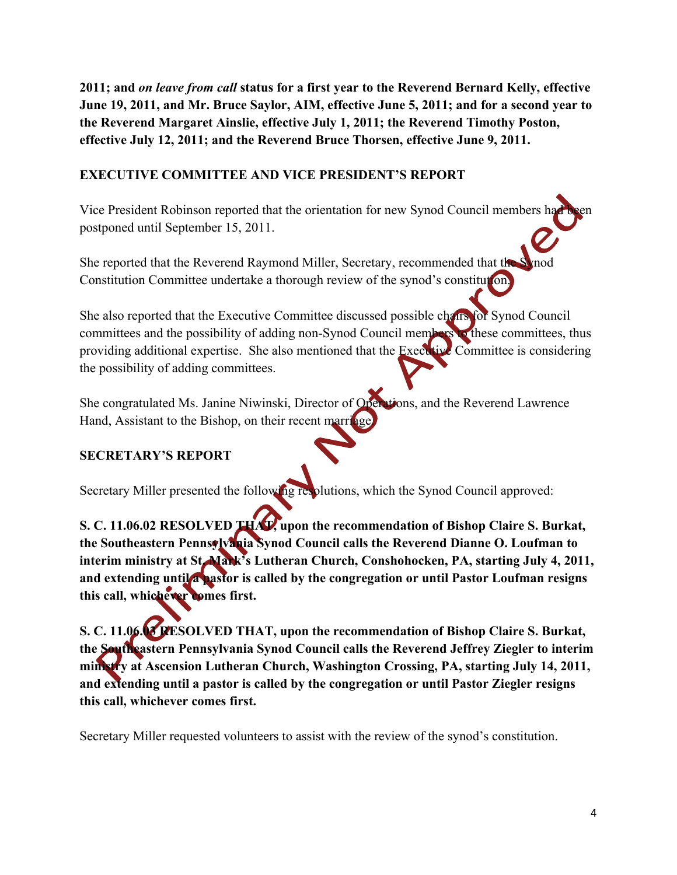**2011; and** *on leave from call* **status for a first year to the Reverend Bernard Kelly, effective June 19, 2011, and Mr. Bruce Saylor, AIM, effective June 5, 2011; and for a second year to the Reverend Margaret Ainslie, effective July 1, 2011; the Reverend Timothy Poston, effective July 12, 2011; and the Reverend Bruce Thorsen, effective June 9, 2011.**

## **EXECUTIVE COMMITTEE AND VICE PRESIDENT'S REPORT**

Vice President Robinson reported that the orientation for new Synod Council members had postponed until September 15, 2011.

She reported that the Reverend Raymond Miller, Secretary, recommended that the Constitution Committee undertake a thorough review of the synod's constitution.

She also reported that the Executive Committee discussed possible chairs for Synod Council committees and the possibility of adding non-Synod Council members to these committees, thus providing additional expertise. She also mentioned that the Executive Committee is considering the possibility of adding committees.

She congratulated Ms. Janine Niwinski, Director of Operations, and the Reverend Lawrence Hand, Assistant to the Bishop, on their recent marriage.

## **SECRETARY'S REPORT**

Secretary Miller presented the following resolutions, which the Synod Council approved:

**S. C. 11.06.02 RESOLVED THAT, upon the recommendation of Bishop Claire S. Burkat, the Southeastern Pennsylvania Synod Council calls the Reverend Dianne O. Loufman to interim ministry at St. Mark's Lutheran Church, Conshohocken, PA, starting July 4, 2011, and extending until a pastor is called by the congregation or until Pastor Loufman resigns this call, whichever comes first.**

**S. C. 11.06.03 RESOLVED THAT, upon the recommendation of Bishop Claire S. Burkat, the Southeastern Pennsylvania Synod Council calls the Reverend Jeffrey Ziegler to interim ministry at Ascension Lutheran Church, Washington Crossing, PA, starting July 14, 2011, and extending until a pastor is called by the congregation or until Pastor Ziegler resigns this call, whichever comes first.**

Secretary Miller requested volunteers to assist with the review of the synod's constitution.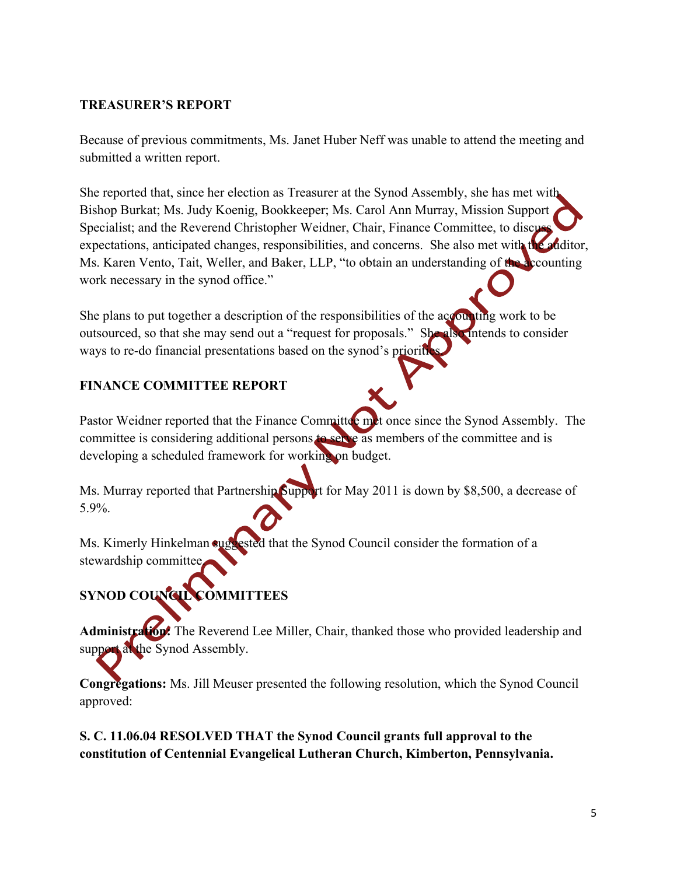#### **TREASURER'S REPORT**

Because of previous commitments, Ms. Janet Huber Neff was unable to attend the meeting and submitted a written report.

She reported that, since her election as Treasurer at the Synod Assembly, she has met with Bishop Burkat; Ms. Judy Koenig, Bookkeeper; Ms. Carol Ann Murray, Mission Support Specialist; and the Reverend Christopher Weidner, Chair, Finance Committee, to discuss expectations, anticipated changes, responsibilities, and concerns. She also met with the auditor, Ms. Karen Vento, Tait, Weller, and Baker, LLP, "to obtain an understanding of the accounting work necessary in the synod office."

She plans to put together a description of the responsibilities of the accounting work to be outsourced, so that she may send out a "request for proposals." She also intends to consider ways to re-do financial presentations based on the synod's priorities.

## **FINANCE COMMITTEE REPORT**

Pastor Weidner reported that the Finance Committee met once since the Synod Assembly. The committee is considering additional persons to serve as members of the committee and is developing a scheduled framework for working on budget.

Ms. Murray reported that Partnership Support for May 2011 is down by \$8,500, a decrease of 5.9%.

Ms. Kimerly Hinkelman suggested that the Synod Council consider the formation of a stewardship committee.

# **SYNOD COUNCIL COMMITTEES**

Administration: The Reverend Lee Miller, Chair, thanked those who provided leadership and support at the Synod Assembly.

**Congregations:** Ms. Jill Meuser presented the following resolution, which the Synod Council approved:

**S. C. 11.06.04 RESOLVED THAT the Synod Council grants full approval to the constitution of Centennial Evangelical Lutheran Church, Kimberton, Pennsylvania.**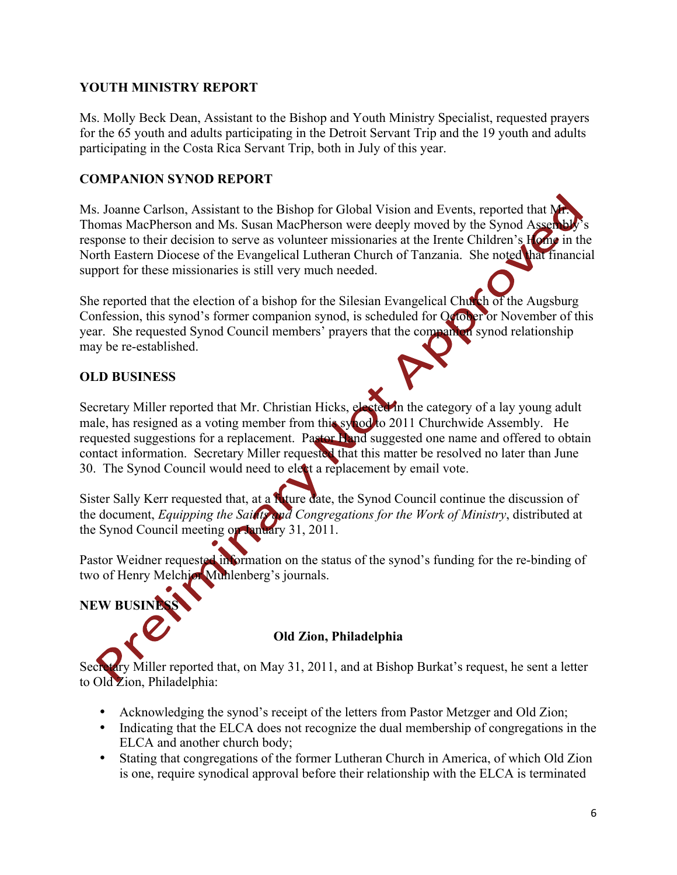#### **YOUTH MINISTRY REPORT**

Ms. Molly Beck Dean, Assistant to the Bishop and Youth Ministry Specialist, requested prayers for the 65 youth and adults participating in the Detroit Servant Trip and the 19 youth and adults participating in the Costa Rica Servant Trip, both in July of this year.

#### **COMPANION SYNOD REPORT**

Ms. Joanne Carlson, Assistant to the Bishop for Global Vision and Events, reported that N Thomas MacPherson and Ms. Susan MacPherson were deeply moved by the Synod Assemble response to their decision to serve as volunteer missionaries at the Irente Children's Home in the North Eastern Diocese of the Evangelical Lutheran Church of Tanzania. She noted that financial support for these missionaries is still very much needed.

She reported that the election of a bishop for the Silesian Evangelical Church of the Augsburg Confession, this synod's former companion synod, is scheduled for October or November of this year. She requested Synod Council members' prayers that the companion synod relationship may be re-established.

## **OLD BUSINESS**

Secretary Miller reported that Mr. Christian Hicks, elected in the category of a lay young adult male, has resigned as a voting member from this synod to 2011 Churchwide Assembly. He requested suggestions for a replacement. Pastor Hand suggested one name and offered to obtain contact information. Secretary Miller requested that this matter be resolved no later than June 30. The Synod Council would need to elect a replacement by email vote.

Sister Sally Kerr requested that, at a **fu**ture date, the Synod Council continue the discussion of the document, *Equipping the Saints and Congregations for the Work of Ministry*, distributed at the Synod Council meeting on January 31, 2011.

Pastor Weidner requested information on the status of the synod's funding for the re-binding of two of Henry Melchior Muhlenberg's journals.

**NEW BUSINE** 

## **Old Zion, Philadelphia**

 $\Delta$ ry Miller reported that, on May 31, 2011, and at Bishop Burkat's request, he sent a letter to Old Zion, Philadelphia:

- Acknowledging the synod's receipt of the letters from Pastor Metzger and Old Zion;
- Indicating that the ELCA does not recognize the dual membership of congregations in the ELCA and another church body;
- Stating that congregations of the former Lutheran Church in America, of which Old Zion is one, require synodical approval before their relationship with the ELCA is terminated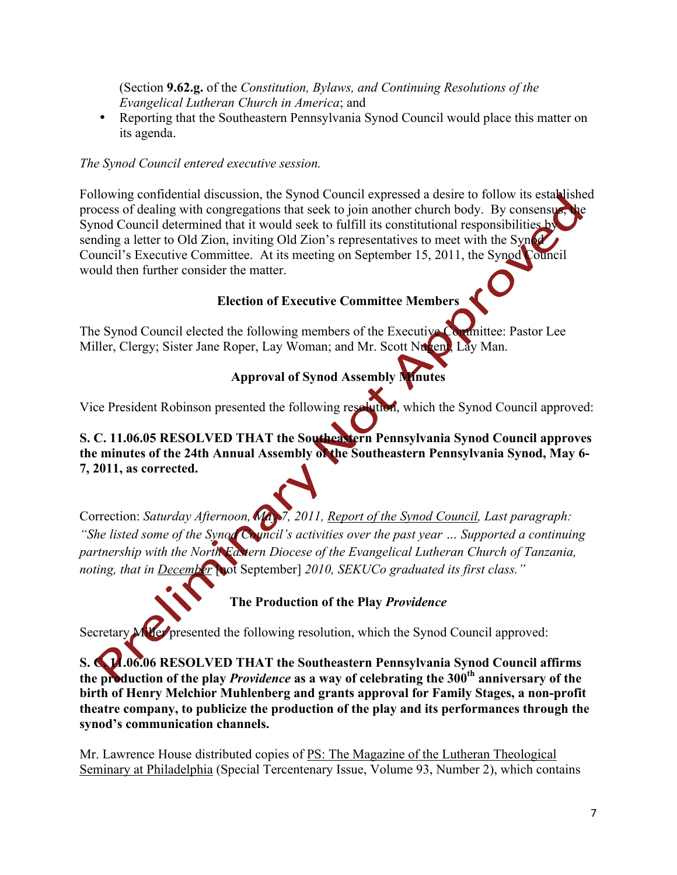(Section **9.62.g.** of the *Constitution, Bylaws, and Continuing Resolutions of the Evangelical Lutheran Church in America*; and

• Reporting that the Southeastern Pennsylvania Synod Council would place this matter on its agenda.

#### *The Synod Council entered executive session.*

Following confidential discussion, the Synod Council expressed a desire to follow its established process of dealing with congregations that seek to join another church body. By consensus Synod Council determined that it would seek to fulfill its constitutional responsibilities by sending a letter to Old Zion, inviting Old Zion's representatives to meet with the Synod Council's Executive Committee. At its meeting on September 15, 2011, the Synod Council would then further consider the matter.

## **Election of Executive Committee Members**

The Synod Council elected the following members of the Executive Committee: Pastor Lee Miller, Clergy; Sister Jane Roper, Lay Woman; and Mr. Scott Nugent, Lay Man.

# **Approval of Synod Assembly Minutes**

Vice President Robinson presented the following resolution, which the Synod Council approved:

## **S. C. 11.06.05 RESOLVED THAT the Southeastern Pennsylvania Synod Council approves the minutes of the 24th Annual Assembly of the Southeastern Pennsylvania Synod, May 6- 7, 2011, as corrected.**

Correction: *Saturday Afternoon, May 7, 2011, Report of the Synod Council, Last paragraph: "She listed some of the Synod Council's activities over the past year … Supported a continuing partnership with the North Eastern Diocese of the Evangelical Lutheran Church of Tanzania, noting, that in December* [not September] 2010, SEKUCo graduated its first class."

**The Production of the Play** *Providence*

Secretary Miller presented the following resolution, which the Synod Council approved:

**S. C. 11.06.06 RESOLVED THAT the Southeastern Pennsylvania Synod Council affirms the production of the play** *Providence* **as a way of celebrating the 300th anniversary of the birth of Henry Melchior Muhlenberg and grants approval for Family Stages, a non-profit theatre company, to publicize the production of the play and its performances through the synod's communication channels.**

Mr. Lawrence House distributed copies of PS: The Magazine of the Lutheran Theological Seminary at Philadelphia (Special Tercentenary Issue, Volume 93, Number 2), which contains